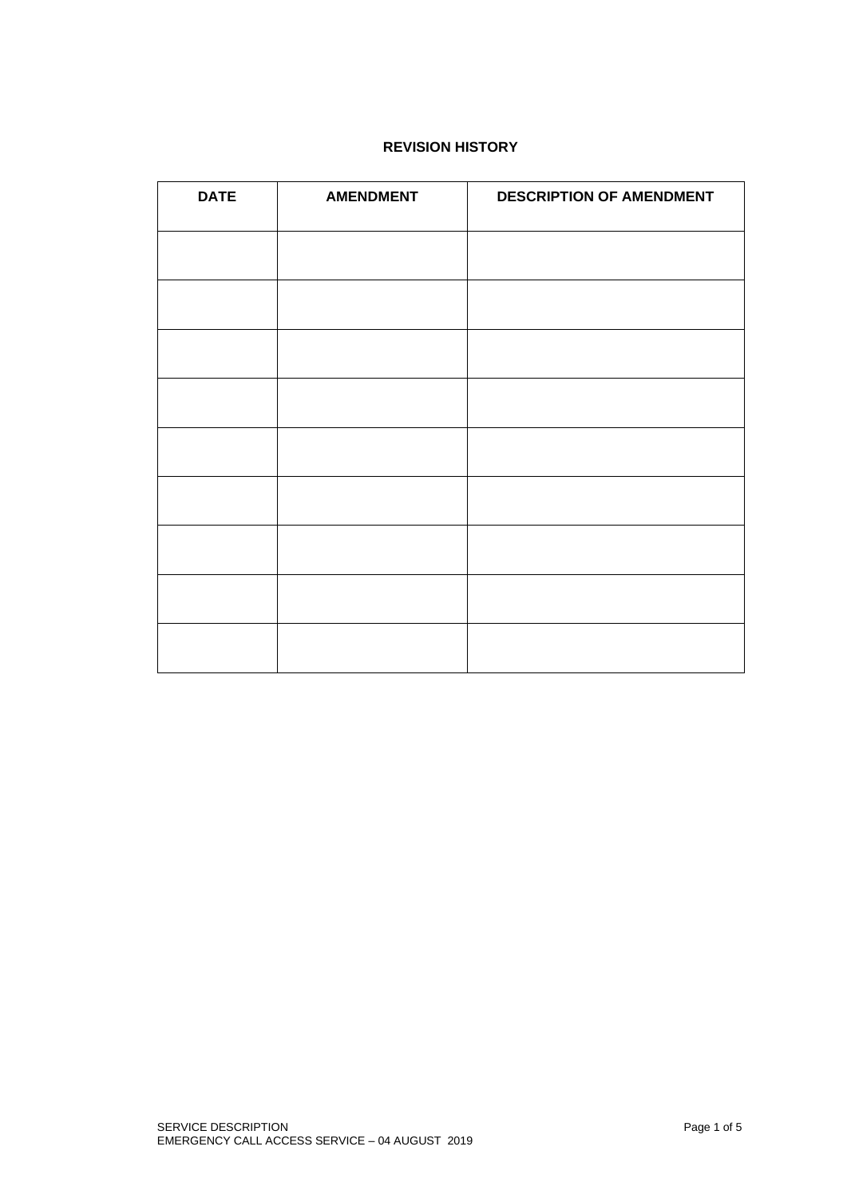# **REVISION HISTORY**

| <b>DATE</b> | <b>AMENDMENT</b> | <b>DESCRIPTION OF AMENDMENT</b> |
|-------------|------------------|---------------------------------|
|             |                  |                                 |
|             |                  |                                 |
|             |                  |                                 |
|             |                  |                                 |
|             |                  |                                 |
|             |                  |                                 |
|             |                  |                                 |
|             |                  |                                 |
|             |                  |                                 |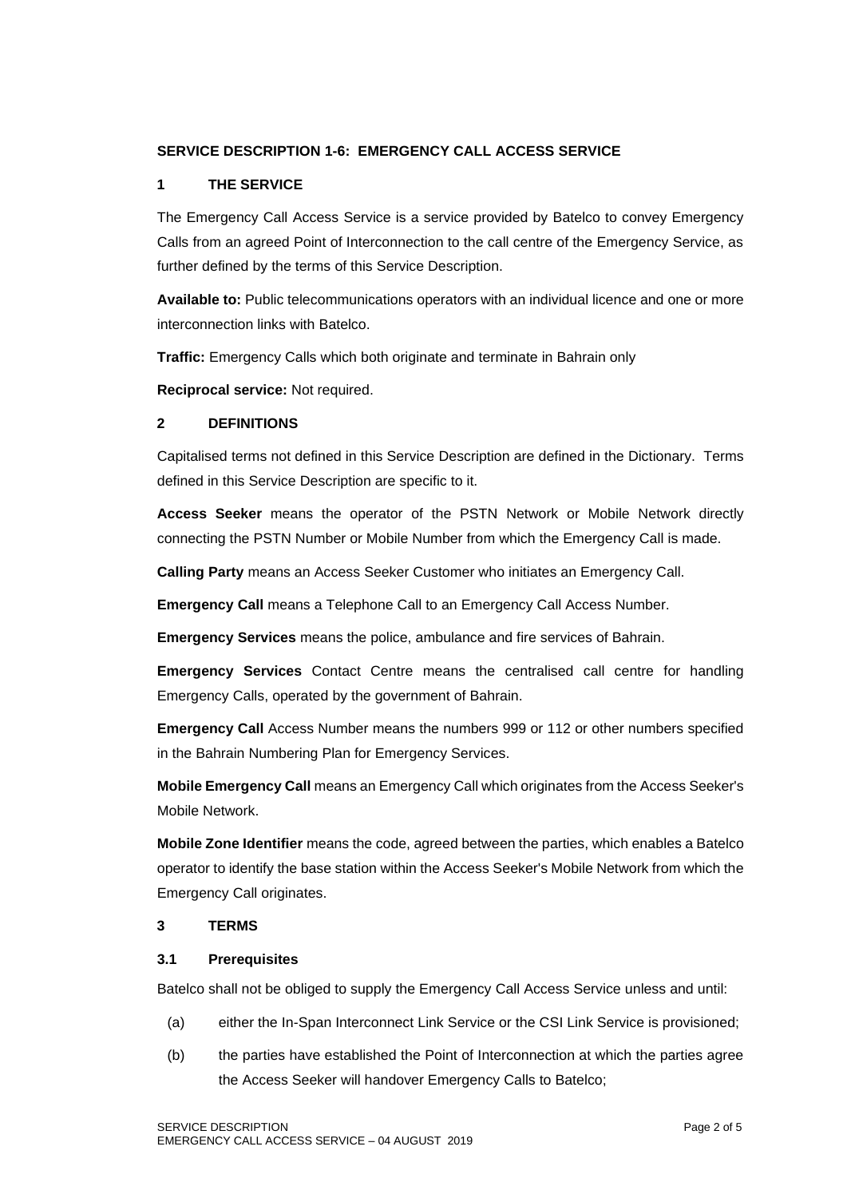## **SERVICE DESCRIPTION 1-6: EMERGENCY CALL ACCESS SERVICE**

### **1 THE SERVICE**

The Emergency Call Access Service is a service provided by Batelco to convey Emergency Calls from an agreed Point of Interconnection to the call centre of the Emergency Service, as further defined by the terms of this Service Description.

**Available to:** Public telecommunications operators with an individual licence and one or more interconnection links with Batelco.

**Traffic:** Emergency Calls which both originate and terminate in Bahrain only

**Reciprocal service:** Not required.

### **2 DEFINITIONS**

Capitalised terms not defined in this Service Description are defined in the Dictionary. Terms defined in this Service Description are specific to it.

**Access Seeker** means the operator of the PSTN Network or Mobile Network directly connecting the PSTN Number or Mobile Number from which the Emergency Call is made.

**Calling Party** means an Access Seeker Customer who initiates an Emergency Call.

**Emergency Call** means a Telephone Call to an Emergency Call Access Number.

**Emergency Services** means the police, ambulance and fire services of Bahrain.

**Emergency Services** Contact Centre means the centralised call centre for handling Emergency Calls, operated by the government of Bahrain.

**Emergency Call** Access Number means the numbers 999 or 112 or other numbers specified in the Bahrain Numbering Plan for Emergency Services.

**Mobile Emergency Call** means an Emergency Call which originates from the Access Seeker's Mobile Network.

**Mobile Zone Identifier** means the code, agreed between the parties, which enables a Batelco operator to identify the base station within the Access Seeker's Mobile Network from which the Emergency Call originates.

#### **3 TERMS**

#### **3.1 Prerequisites**

Batelco shall not be obliged to supply the Emergency Call Access Service unless and until:

- (a) either the In-Span Interconnect Link Service or the CSI Link Service is provisioned;
- (b) the parties have established the Point of Interconnection at which the parties agree the Access Seeker will handover Emergency Calls to Batelco;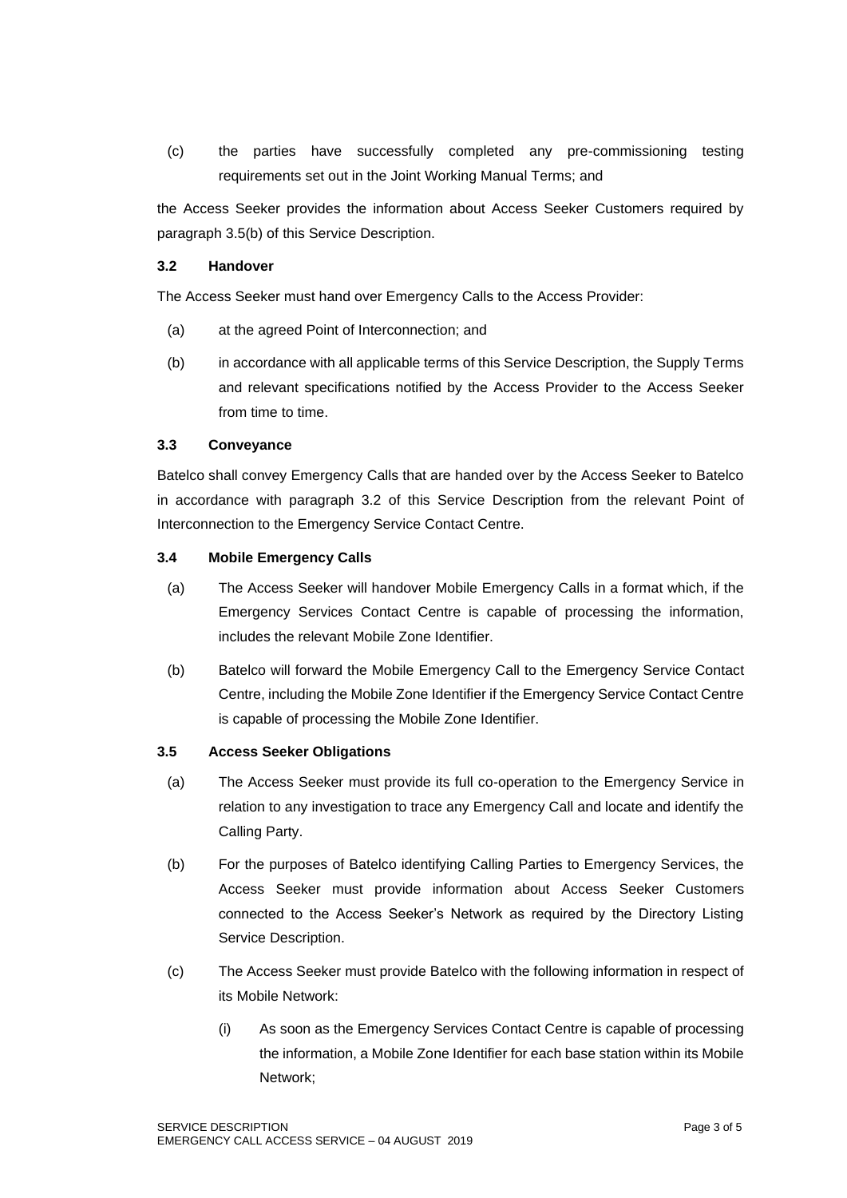(c) the parties have successfully completed any pre-commissioning testing requirements set out in the Joint Working Manual Terms; and

the Access Seeker provides the information about Access Seeker Customers required by paragraph 3.5(b) of this Service Description.

## **3.2 Handover**

The Access Seeker must hand over Emergency Calls to the Access Provider:

- (a) at the agreed Point of Interconnection; and
- (b) in accordance with all applicable terms of this Service Description, the Supply Terms and relevant specifications notified by the Access Provider to the Access Seeker from time to time.

## **3.3 Conveyance**

Batelco shall convey Emergency Calls that are handed over by the Access Seeker to Batelco in accordance with paragraph 3.2 of this Service Description from the relevant Point of Interconnection to the Emergency Service Contact Centre.

# **3.4 Mobile Emergency Calls**

- (a) The Access Seeker will handover Mobile Emergency Calls in a format which, if the Emergency Services Contact Centre is capable of processing the information, includes the relevant Mobile Zone Identifier.
- (b) Batelco will forward the Mobile Emergency Call to the Emergency Service Contact Centre, including the Mobile Zone Identifier if the Emergency Service Contact Centre is capable of processing the Mobile Zone Identifier.

## **3.5 Access Seeker Obligations**

- (a) The Access Seeker must provide its full co-operation to the Emergency Service in relation to any investigation to trace any Emergency Call and locate and identify the Calling Party.
- (b) For the purposes of Batelco identifying Calling Parties to Emergency Services, the Access Seeker must provide information about Access Seeker Customers connected to the Access Seeker's Network as required by the Directory Listing Service Description.
- (c) The Access Seeker must provide Batelco with the following information in respect of its Mobile Network:
	- (i) As soon as the Emergency Services Contact Centre is capable of processing the information, a Mobile Zone Identifier for each base station within its Mobile Network;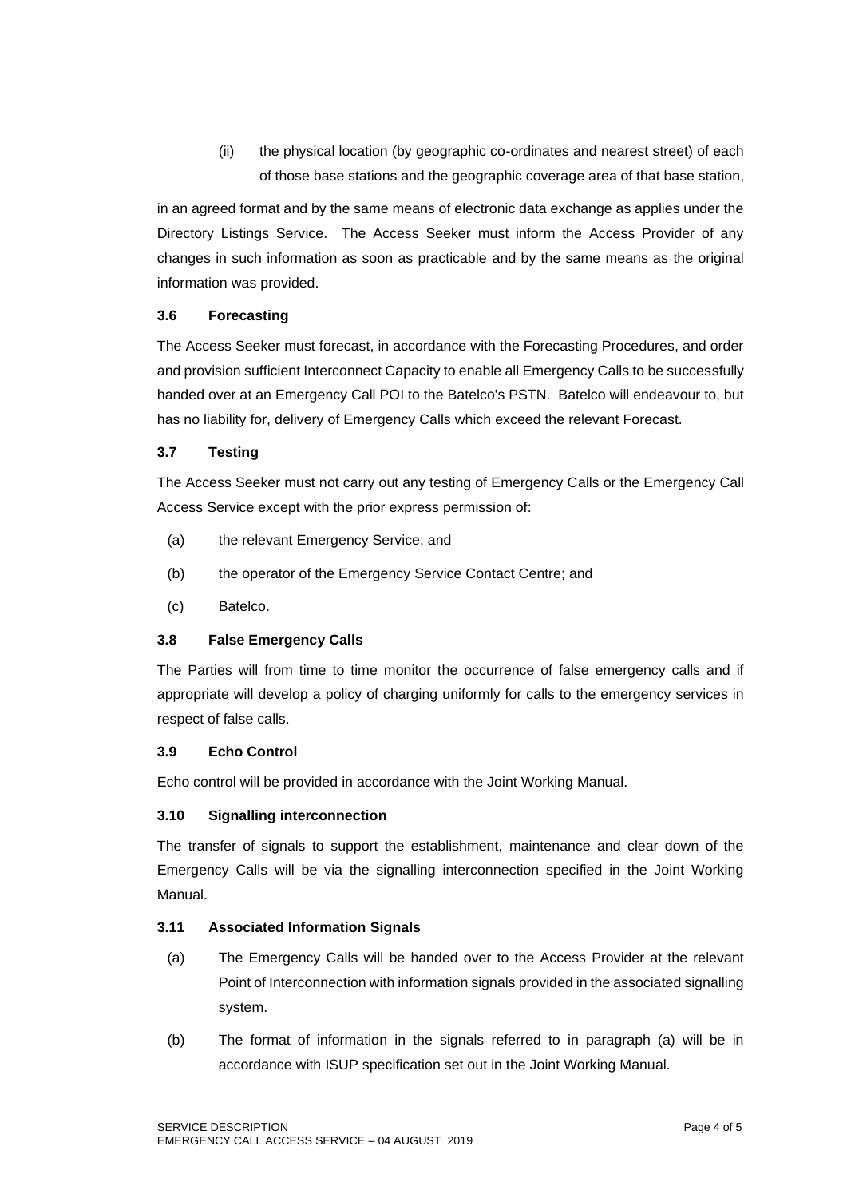(ii) the physical location (by geographic co-ordinates and nearest street) of each of those base stations and the geographic coverage area of that base station,

in an agreed format and by the same means of electronic data exchange as applies under the Directory Listings Service. The Access Seeker must inform the Access Provider of any changes in such information as soon as practicable and by the same means as the original information was provided.

# **3.6 Forecasting**

The Access Seeker must forecast, in accordance with the Forecasting Procedures, and order and provision sufficient Interconnect Capacity to enable all Emergency Calls to be successfully handed over at an Emergency Call POI to the Batelco's PSTN. Batelco will endeavour to, but has no liability for, delivery of Emergency Calls which exceed the relevant Forecast.

# **3.7 Testing**

The Access Seeker must not carry out any testing of Emergency Calls or the Emergency Call Access Service except with the prior express permission of:

- (a) the relevant Emergency Service; and
- (b) the operator of the Emergency Service Contact Centre; and
- (c) Batelco.

# **3.8 False Emergency Calls**

The Parties will from time to time monitor the occurrence of false emergency calls and if appropriate will develop a policy of charging uniformly for calls to the emergency services in respect of false calls.

## **3.9 Echo Control**

Echo control will be provided in accordance with the Joint Working Manual.

## **3.10 Signalling interconnection**

The transfer of signals to support the establishment, maintenance and clear down of the Emergency Calls will be via the signalling interconnection specified in the Joint Working Manual.

## **3.11 Associated Information Signals**

- (a) The Emergency Calls will be handed over to the Access Provider at the relevant Point of Interconnection with information signals provided in the associated signalling system.
- (b) The format of information in the signals referred to in paragraph (a) will be in accordance with ISUP specification set out in the Joint Working Manual.